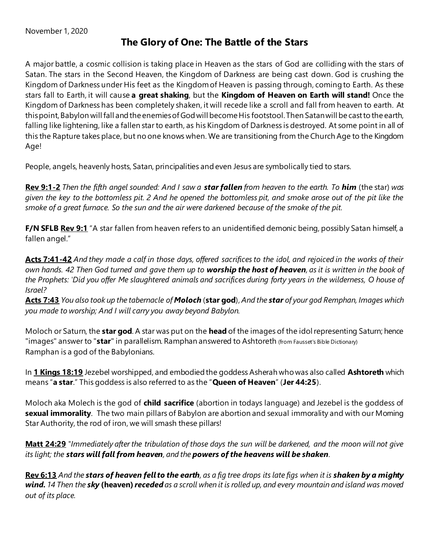## **The Glory of One: The Battle of the Stars**

A major battle, a cosmic collision is taking place in Heaven as the stars of God are colliding with the stars of Satan. The stars in the Second Heaven, the Kingdom of Darkness are being cast down. God is crushing the Kingdom of Darkness under His feet as the Kingdom of Heaven is passing through, coming to Earth. As these stars fall to Earth, it will cause **a great shaking**, but the **Kingdom of Heaven on Earth will stand!** Once the Kingdom of Darkness has been completely shaken, it will recede like a scroll and fall from heaven to earth. At this point, Babylon will fall and the enemies of God will become His footstool. Then Satan will be cast to the earth, falling like lightening, like a fallen star to earth, as his Kingdom of Darkness is destroyed. At some point in all of this the Rapture takes place, but no one knows when. We are transitioning from the Church Age to the Kingdom Age!

People, angels, heavenly hosts, Satan, principalities and even Jesus are symbolically tied to stars.

**Rev 9:1-2** *Then the fifth angel sounded: And I saw a star fallen from heaven to the earth. To him* (the star) *was given the key to the bottomless pit. 2 And he opened the bottomless pit, and smoke arose out of the pit like the smoke of a great furnace. So the sun and the air were darkened because of the smoke of the pit.* 

**F/N SFLB Rev 9:1** "A star fallen from heaven refers to an unidentified demonic being, possibly Satan himself, a fallen angel."

**Acts 7:41-42** *And they made a calf in those days, offered sacrifices to the idol, and rejoiced in the works of their own hands. 42 Then God turned and gave them up to worship the host of heaven, as it is written in the book of the Prophets: 'Did you offer Me slaughtered animals and sacrifices during forty years in the wilderness, O house of Israel?* 

**Acts 7:43** *You also took up the tabernacle of Moloch* (**star god**), *And the star of your god Remphan, Images which you made to worship; And I will carry you away beyond Babylon.*

Moloch or Saturn, the **star god**. A star was put on the **head** of the images of the idol representing Saturn; hence "images" answer to "**star**" in parallelism. Ramphan answered to Ashtoreth (from Fausset's Bible Dictionary) Ramphan is a god of the Babylonians.

In **1 Kings 18:19** Jezebel worshipped, and embodied the goddess Asherah who was also called **Ashtoreth** which means "**a star**." This goddess is also referred to as the "**Queen of Heaven**" (**Jer 44:25**).

Moloch aka Molech is the god of **child sacrifice** (abortion in todays language) and Jezebel is the goddess of **sexual immorality**. The two main pillars of Babylon are abortion and sexual immorality and with our Moming Star Authority, the rod of iron, we will smash these pillars!

**Matt 24:29** *"Immediately after the tribulation of those days the sun will be darkened, and the moon will not give its light; the stars will fall from heaven, and the powers of the heavens will be shaken.*

**Rev 6:13** *And the stars of heaven fell to the earth, as a fig tree drops its late figs when it is shaken by a mighty wind. 14 Then the sky* **(heaven)** *receded as a scroll when it is rolled up, and every mountain and island was moved out of its place.*